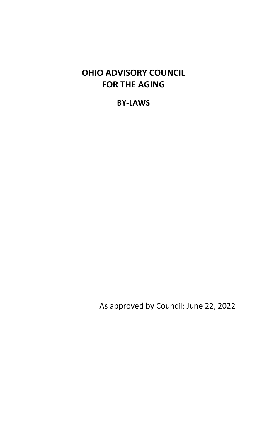# **OHIO ADVISORY COUNCIL FOR THE AGING**

**BY‐LAWS**

As approved by Council: June 22, 2022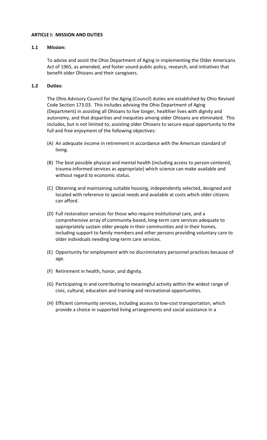#### **ARTICLE I: MISSION AND DUTIES**

#### **1.1 Mission:**

To advise and assist the Ohio Department of Aging in implementing the Older Americans Act of 1965, as amended, and foster sound public policy, research, and initiatives that benefit older Ohioans and their caregivers.

## **1.2 Duties:**

The Ohio Advisory Council for the Aging (Council) duties are established by Ohio Revised Code Section 173.03. This includes advising the Ohio Department of Aging (Department) in assisting all Ohioans to live longer, healthier lives with dignity and autonomy, and that disparities and inequities among older Ohioans are eliminated. This includes, but is not limited to, assisting older Ohioans to secure equal opportunity to the full and free enjoyment of the following objectives:

- (A) An adequate income in retirement in accordance with the American standard of living.
- (B) The best possible physical and mental health (including access to person‐centered, trauma‐informed services as appropriate) which science can make available and without regard to economic status.
- (C) Obtaining and maintaining suitable housing, independently selected, designed and located with reference to special needs and available at costs which older citizens can afford.
- (D) Full restoration services for those who require institutional care, and a comprehensive array of community‐based, long‐term care services adequate to appropriately sustain older people in their communities and in their homes, including support to family members and other persons providing voluntary care to older individuals needing long‐term care services.
- (E) Opportunity for employment with no discriminatory personnel practices because of age.
- (F) Retirement in health, honor, and dignity.
- (G) Participating in and contributing to meaningful activity within the widest range of civic, cultural, education and training and recreational opportunities.
- (H) Efficient community services, including access to low‐cost transportation, which provide a choice in supported living arrangements and social assistance in a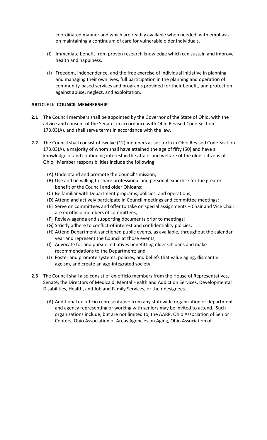coordinated manner and which are readily available when needed, with emphasis on maintaining a continuum of care for vulnerable older individuals.

- (I) Immediate benefit from proven research knowledge which can sustain and improve health and happiness.
- (J) Freedom, independence, and the free exercise of individual initiative in planning and managing their own lives, full participation in the planning and operation of community‐based services and programs provided for their benefit, and protection against abuse, neglect, and exploitation.

## **ARTICLE II: COUNCIL MEMBERSHIP**

- **2.1** The Council members shall be appointed by the Governor of the State of Ohio, with the advice and consent of the Senate, in accordance with Ohio Revised Code Section 173.03(A), and shall serve terms in accordance with the law.
- **2.2** The Council shall consist of twelve (12) members as set forth in Ohio Revised Code Section 173.03(A), a majority of whom shall have attained the age of fifty (50) and have a knowledge of and continuing interest in the affairs and welfare of the older citizens of Ohio. Member responsibilities include the following:
	- (A) Understand and promote the Council's mission;
	- (B) Use and be willing to share professional and personal expertise for the greater benefit of the Council and older Ohioans;
	- (C) Be familiar with Department programs, policies, and operations;
	- (D) Attend and actively participate in Council meetings and committee meetings;
	- (E) Serve on committees and offer to take on special assignments Chair and Vice Chair are ex officio members of committees;
	- (F) Review agenda and supporting documents prior to meetings;
	- (G) Strictly adhere to conflict‐of‐interest and confidentiality policies;
	- (H) Attend Department‐sanctioned public events, as available, throughout the calendar year and represent the Council at those events;
	- (I) Advocate for and pursue initiatives benefitting older Ohioans and make recommendations to the Department; and
	- (J) Foster and promote systems, policies, and beliefs that value aging, dismantle ageism, and create an age‐integrated society.
- **2.3** The Council shall also consist of ex-officio members from the House of Representatives, Senate, the Directors of Medicaid, Mental Health and Addiction Services, Developmental Disabilities, Health, and Job and Family Services, or their designees.
	- (A) Additional ex‐officio representative from any statewide organization or department and agency representing or working with seniors may be invited to attend. Such organizations include, but are not limited to, the AARP, Ohio Association of Senior Centers, Ohio Association of Areas Agencies on Aging, Ohio Association of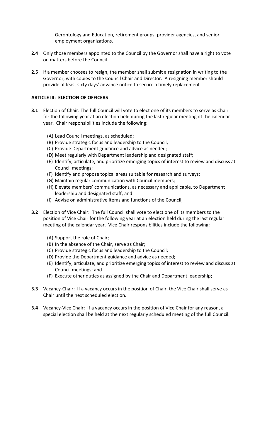Gerontology and Education, retirement groups, provider agencies, and senior employment organizations.

- **2.4** Only those members appointed to the Council by the Governor shall have a right to vote on matters before the Council.
- **2.5** If a member chooses to resign, the member shall submit a resignation in writing to the Governor, with copies to the Council Chair and Director. A resigning member should provide at least sixty days' advance notice to secure a timely replacement.

## **ARTICLE III: ELECTION OF OFFICERS**

- **3.1** Election of Chair: The full Council will vote to elect one of its members to serve as Chair for the following year at an election held during the last regular meeting of the calendar year. Chair responsibilities include the following:
	- (A) Lead Council meetings, as scheduled;
	- (B) Provide strategic focus and leadership to the Council;
	- (C) Provide Department guidance and advice as needed;
	- (D) Meet regularly with Department leadership and designated staff;
	- (E) Identify, articulate, and prioritize emerging topics of interest to review and discuss at Council meetings;
	- (F) Identify and propose topical areas suitable for research and surveys;
	- (G) Maintain regular communication with Council members;
	- (H) Elevate members' communications, as necessary and applicable, to Department leadership and designated staff; and
	- (I) Advise on administrative items and functions of the Council;
- **3.2** Election of Vice Chair: The full Council shall vote to elect one of its members to the position of Vice Chair for the following year at an election held during the last regular meeting of the calendar year. Vice Chair responsibilities include the following:
	- (A) Support the role of Chair;
	- (B) In the absence of the Chair, serve as Chair;
	- (C) Provide strategic focus and leadership to the Council;
	- (D) Provide the Department guidance and advice as needed;
	- (E) Identify, articulate, and prioritize emerging topics of interest to review and discuss at Council meetings; and
	- (F) Execute other duties as assigned by the Chair and Department leadership;
- **3.3** Vacancy-Chair: If a vacancy occurs in the position of Chair, the Vice Chair shall serve as Chair until the next scheduled election.
- **3.4** Vacancy-Vice Chair: If a vacancy occurs in the position of Vice Chair for any reason, a special election shall be held at the next regularly scheduled meeting of the full Council.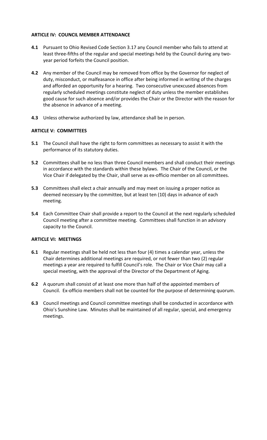## **ARTICLE IV: COUNCIL MEMBER ATTENDANCE**

- **4.1** Pursuant to Ohio Revised Code Section 3.17 any Council member who fails to attend at least three-fifths of the regular and special meetings held by the Council during any twoyear period forfeits the Council position.
- **4.2** Any member of the Council may be removed from office by the Governor for neglect of duty, misconduct, or malfeasance in office after being informed in writing of the charges and afforded an opportunity for a hearing. Two consecutive unexcused absences from regularly scheduled meetings constitute neglect of duty unless the member establishes good cause for such absence and/or provides the Chair or the Director with the reason for the absence in advance of a meeting.
- **4.3** Unless otherwise authorized by law, attendance shall be in person.

# **ARTICLE V: COMMITTEES**

- **5.1** The Council shall have the right to form committees as necessary to assist it with the performance of its statutory duties.
- **5.2** Committees shall be no less than three Council members and shall conduct their meetings in accordance with the standards within these bylaws. The Chair of the Council, or the Vice Chair if delegated by the Chair, shall serve as ex‐officio member on all committees.
- **5.3** Committees shall elect a chair annually and may meet on issuing a proper notice as deemed necessary by the committee, but at least ten (10) days in advance of each meeting.
- **5.4** Each Committee Chair shall provide a report to the Council at the next regularly scheduled Council meeting after a committee meeting. Committees shall function in an advisory capacity to the Council.

#### **ARTICLE VI: MEETINGS**

- **6.1** Regular meetings shall be held not less than four (4) times a calendar year, unless the Chair determines additional meetings are required, or not fewer than two (2) regular meetings a year are required to fulfill Council's role. The Chair or Vice Chair may call a special meeting, with the approval of the Director of the Department of Aging.
- **6.2** A quorum shall consist of at least one more than half of the appointed members of Council. Ex‐officio members shall not be counted for the purpose of determining quorum.
- **6.3** Council meetings and Council committee meetings shall be conducted in accordance with Ohio's Sunshine Law. Minutes shall be maintained of all regular, special, and emergency meetings.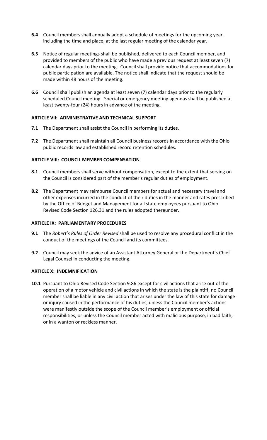- **6.4** Council members shall annually adopt a schedule of meetings for the upcoming year, including the time and place, at the last regular meeting of the calendar year.
- **6.5** Notice of regular meetings shall be published, delivered to each Council member, and provided to members of the public who have made a previous request at least seven (7) calendar days prior to the meeting. Council shall provide notice that accommodations for public participation are available. The notice shall indicate that the request should be made within 48 hours of the meeting.
- **6.6** Council shall publish an agenda at least seven (7) calendar days prior to the regularly scheduled Council meeting. Special or emergency meeting agendas shall be published at least twenty‐four (24) hours in advance of the meeting.

#### **ARTICLE VII: ADMINISTRATIVE AND TECHNICAL SUPPORT**

- **7.1** The Department shall assist the Council in performing its duties.
- **7.2** The Department shall maintain all Council business records in accordance with the Ohio public records law and established record retention schedules.

# **ARTICLE VIII: COUNCIL MEMBER COMPENSATION**

- **8.1** Council members shall serve without compensation, except to the extent that serving on the Council is considered part of the member's regular duties of employment.
- **8.2** The Department may reimburse Council members for actual and necessary travel and other expenses incurred in the conduct of their duties in the manner and rates prescribed by the Office of Budget and Management for all state employees pursuant to Ohio Revised Code Section 126.31 and the rules adopted thereunder.

#### **ARTICLE IX: PARLIAMENTARY PROCEDURES**

- **9.1** The *Robert's Rules of Order Revised* shall be used to resolve any procedural conflict in the conduct of the meetings of the Council and its committees.
- **9.2** Council may seek the advice of an Assistant Attorney General or the Department's Chief Legal Counsel in conducting the meeting.

#### **ARTICLE X: INDEMNIFICATION**

**10.1** Pursuant to Ohio Revised Code Section 9.86 except for civil actions that arise out of the operation of a motor vehicle and civil actions in which the state is the plaintiff, no Council member shall be liable in any civil action that arises under the law of this state for damage or injury caused in the performance of his duties, unless the Council member's actions were manifestly outside the scope of the Council member's employment or official responsibilities, or unless the Council member acted with malicious purpose, in bad faith, or in a wanton or reckless manner.